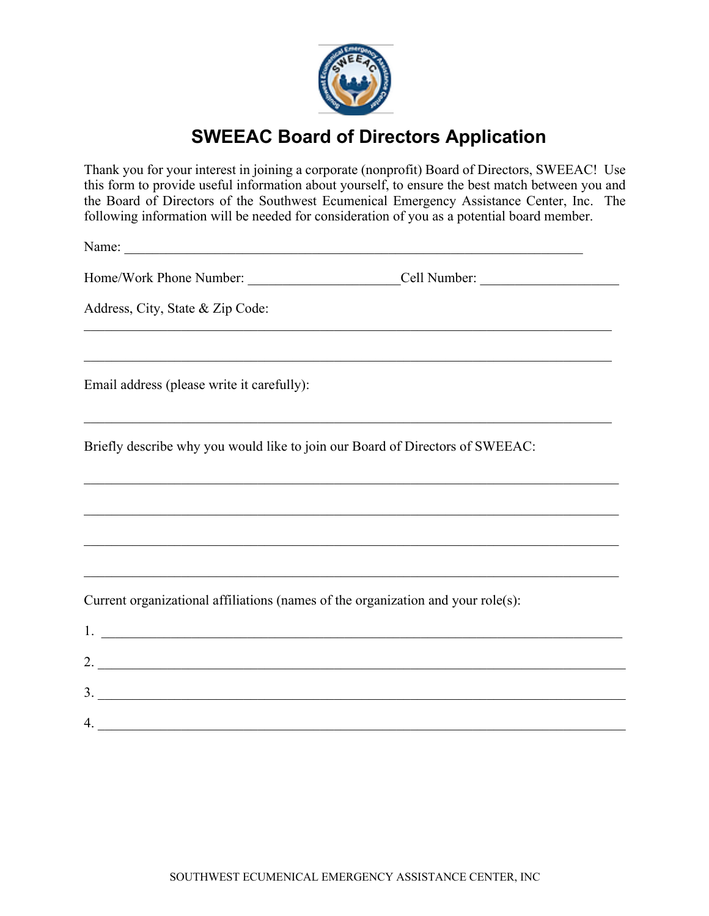

## **SWEEAC Board of Directors Application**

Thank you for your interest in joining a corporate (nonprofit) Board of Directors, SWEEAC! Use this form to provide useful information about yourself, to ensure the best match between you and the Board of Directors of the Southwest Ecumenical Emergency Assistance Center, Inc. The following information will be needed for consideration of you as a potential board member.

 $\mathcal{L}_\mathcal{L} = \mathcal{L}_\mathcal{L} = \mathcal{L}_\mathcal{L} = \mathcal{L}_\mathcal{L} = \mathcal{L}_\mathcal{L} = \mathcal{L}_\mathcal{L} = \mathcal{L}_\mathcal{L} = \mathcal{L}_\mathcal{L} = \mathcal{L}_\mathcal{L} = \mathcal{L}_\mathcal{L} = \mathcal{L}_\mathcal{L} = \mathcal{L}_\mathcal{L} = \mathcal{L}_\mathcal{L} = \mathcal{L}_\mathcal{L} = \mathcal{L}_\mathcal{L} = \mathcal{L}_\mathcal{L} = \mathcal{L}_\mathcal{L}$ 

Name:

Home/Work Phone Number: <br>
Cell Number: <br>
Cell Number:

Address, City, State & Zip Code:

Email address (please write it carefully):

Briefly describe why you would like to join our Board of Directors of SWEEAC:

Current organizational affiliations (names of the organization and your role(s):

| . .     |  |
|---------|--|
| ◠<br>∠. |  |
| ◠<br>J. |  |
| 4.      |  |

 $\_$  , and the contribution of the contribution of the contribution of the contribution of  $\mathcal{L}_\text{max}$